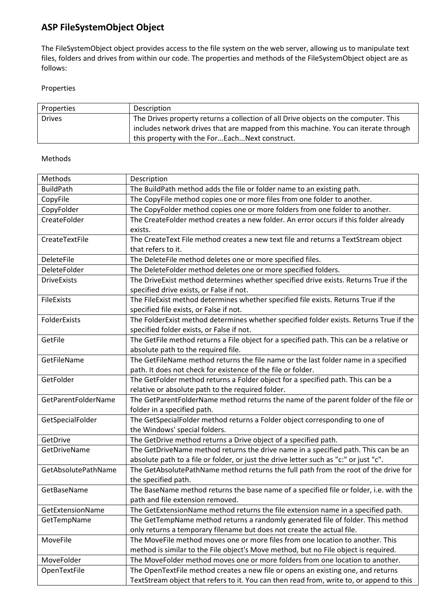## **ASP FileSystemObject Object**

The FileSystemObject object provides access to the file system on the web server, allowing us to manipulate text files, folders and drives from within our code. The properties and methods of the FileSystemObject object are as follows:

## Properties

| Properties    | Description                                                                         |
|---------------|-------------------------------------------------------------------------------------|
| <b>Drives</b> | The Drives property returns a collection of all Drive objects on the computer. This |
|               | includes network drives that are mapped from this machine. You can iterate through  |
|               | this property with the ForEachNext construct.                                       |

## Methods

| Methods             | Description                                                                              |  |
|---------------------|------------------------------------------------------------------------------------------|--|
| <b>BuildPath</b>    | The BuildPath method adds the file or folder name to an existing path.                   |  |
| CopyFile            | The CopyFile method copies one or more files from one folder to another.                 |  |
| CopyFolder          | The CopyFolder method copies one or more folders from one folder to another.             |  |
| CreateFolder        | The CreateFolder method creates a new folder. An error occurs if this folder already     |  |
|                     | exists.                                                                                  |  |
| CreateTextFile      | The CreateText File method creates a new text file and returns a TextStream object       |  |
|                     | that refers to it.                                                                       |  |
| <b>DeleteFile</b>   | The DeleteFile method deletes one or more specified files.                               |  |
| DeleteFolder        | The DeleteFolder method deletes one or more specified folders.                           |  |
| <b>DriveExists</b>  | The DriveExist method determines whether specified drive exists. Returns True if the     |  |
|                     | specified drive exists, or False if not.                                                 |  |
| FileExists          | The FileExist method determines whether specified file exists. Returns True if the       |  |
|                     | specified file exists, or False if not.                                                  |  |
| FolderExists        | The FolderExist method determines whether specified folder exists. Returns True if the   |  |
|                     | specified folder exists, or False if not.                                                |  |
| GetFile             | The GetFile method returns a File object for a specified path. This can be a relative or |  |
|                     | absolute path to the required file.                                                      |  |
| GetFileName         | The GetFileName method returns the file name or the last folder name in a specified      |  |
|                     | path. It does not check for existence of the file or folder.                             |  |
| GetFolder           | The GetFolder method returns a Folder object for a specified path. This can be a         |  |
|                     | relative or absolute path to the required folder.                                        |  |
| GetParentFolderName | The GetParentFolderName method returns the name of the parent folder of the file or      |  |
|                     | folder in a specified path.                                                              |  |
| GetSpecialFolder    | The GetSpecialFolder method returns a Folder object corresponding to one of              |  |
|                     | the Windows' special folders.                                                            |  |
| GetDrive            | The GetDrive method returns a Drive object of a specified path.                          |  |
| GetDriveName        | The GetDriveName method returns the drive name in a specified path. This can be an       |  |
|                     | absolute path to a file or folder, or just the drive letter such as "c:" or just "c".    |  |
| GetAbsolutePathName | The GetAbsolutePathName method returns the full path from the root of the drive for      |  |
|                     | the specified path.                                                                      |  |
| GetBaseName         | The BaseName method returns the base name of a specified file or folder, i.e. with the   |  |
|                     | path and file extension removed.                                                         |  |
| GetExtensionName    | The GetExtensionName method returns the file extension name in a specified path.         |  |
| GetTempName         | The GetTempName method returns a randomly generated file of folder. This method          |  |
|                     | only returns a temporary filename but does not create the actual file.                   |  |
| MoveFile            | The MoveFile method moves one or more files from one location to another. This           |  |
|                     | method is similar to the File object's Move method, but no File object is required.      |  |
| MoveFolder          | The MoveFolder method moves one or more folders from one location to another.            |  |
| OpenTextFile        | The OpenTextFile method creates a new file or opens an existing one, and returns         |  |
|                     | TextStream object that refers to it. You can then read from, write to, or append to this |  |